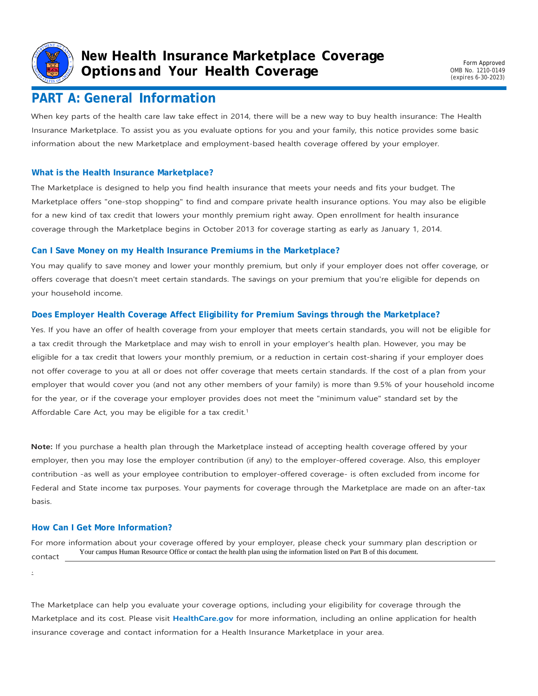

## **PART A: General Information**

When key parts of the health care law take effect in 2014, there will be a new way to buy health insurance: The Health Insurance Marketplace. To assist you as you evaluate options for you and your family, this notice provides some basic information about the new Marketplace and employment-based health coverage offered by your employer.

### **What is the Health Insurance Marketplace?**

The Marketplace is designed to help you find health insurance that meets your needs and fits your budget. The Marketplace offers "one-stop shopping" to find and compare private health insurance options. You may also be eligible for a new kind of tax credit that lowers your monthly premium right away. Open enrollment for health insurance coverage through the Marketplace begins in October 2013 for coverage starting as early as January 1, 2014.

### **Can I Save Money on my Health Insurance Premiums in the Marketplace?**

You may qualify to save money and lower your monthly premium, but only if your employer does not offer coverage, or offers coverage that doesn't meet certain standards. The savings on your premium that you're eligible for depends on your household income.

### **Does Employer Health Coverage Affect Eligibility for Premium Savings through the Marketplace?**

Yes. If you have an offer of health coverage from your employer that meets certain standards, you will not be eligible for a tax credit through the Marketplace and may wish to enroll in your employer's health plan. However, you may be eligible for a tax credit that lowers your monthly premium, or a reduction in certain cost-sharing if your employer does not offer coverage to you at all or does not offer coverage that meets certain standards. If the cost of a plan from your employer that would cover you (and not any other members of your family) is more than 9.5% of your household income for the year, or if the coverage your employer provides does not meet the "minimum value" standard set by the Affordable Care Act, you may be eligible for a tax credit.<sup>1</sup>

**Note:** If you purchase a health plan through the Marketplace instead of accepting health coverage offered by your employer, then you may lose the employer contribution (if any) to the employer-offered coverage. Also, this employer contribution -as well as your employee contribution to employer-offered coverage- is often excluded from income for Federal and State income tax purposes. Your payments for coverage through the Marketplace are made on an after-tax basis.

### **How Can I Get More Information?**

.

For more information about your coverage offered by your employer, please check your summary plan description or contact Your campus Human Resource Office or contact the health plan using the information listed on Part B of this document.

The Marketplace can help you evaluate your coverage options, including your eligibility for coverage through the Marketplace and its cost. Please visit **[HealthCare.gov](http://www.healthcare.gov/)** for more information, including an online application for health insurance coverage and contact information for a Health Insurance Marketplace in your area.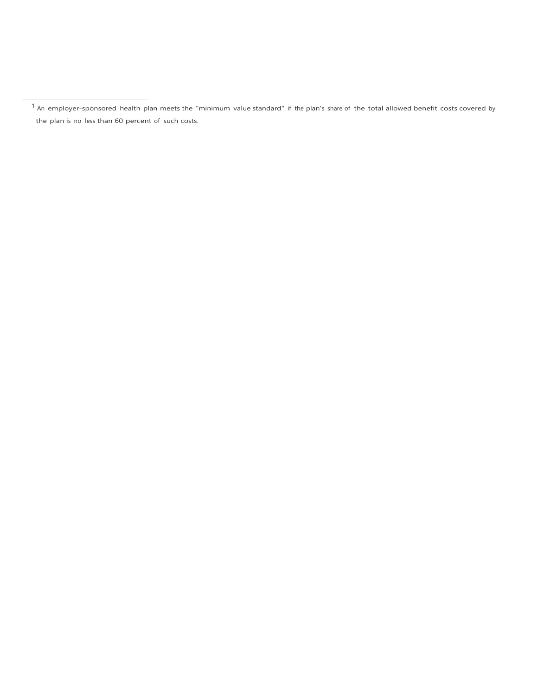$1$  An employer-sponsored health plan meets the "minimum value standard" if the plan's share of the total allowed benefit costs covered by the plan is no less than 60 percent of such costs.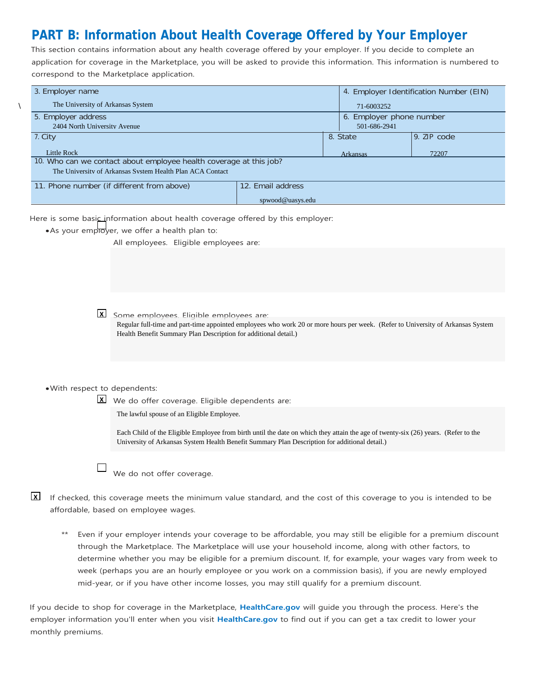# **PART B: Information About Health Coverage Offered by Your Employer**

This section contains information about any health coverage offered by your employer. If you decide to complete an application for coverage in the Marketplace, you will be asked to provide this information. This information is numbered to correspond to the Marketplace application.

| 3. Employer name                                                   |                   | 4. Employer Identification Number (EIN) |                 |               |
|--------------------------------------------------------------------|-------------------|-----------------------------------------|-----------------|---------------|
| The University of Arkansas System                                  |                   | 71-6003252                              |                 |               |
| 5. Employer address                                                |                   | 6. Employer phone number                |                 |               |
| 2404 North University Avenue                                       |                   | 501-686-2941                            |                 |               |
| 7. City                                                            |                   |                                         | 8. State        | $9.$ ZIP code |
|                                                                    |                   |                                         |                 |               |
| <b>Little Rock</b>                                                 |                   |                                         | <b>Arkansas</b> | 72207         |
| 10. Who can we contact about employee health coverage at this job? |                   |                                         |                 |               |
| The University of Arkansas System Health Plan ACA Contact          |                   |                                         |                 |               |
| 11. Phone number (if different from above)                         | 12. Email address |                                         |                 |               |
|                                                                    | spwood@uasys.edu  |                                         |                 |               |

Here is some basic information about health coverage offered by this employer:

• As your employer, we offer a health plan to:

All employees. Eligible employees are:

Some employees. Eligible employees are: **X**

Regular full-time and part-time appointed employees who work 20 or more hours per week. (Refer to University of Arkansas System Health Benefit Summary Plan Description for additional detail.)

#### •With respect to dependents:

 $\lambda$ 

We do offer coverage. Eligible dependents are: **X**

The lawful spouse of an Eligible Employee.

Each Child of the Eligible Employee from birth until the date on which they attain the age of twenty-six (26) years. (Refer to the University of Arkansas System Health Benefit Summary Plan Description for additional detail.)

| We do not offer coverage. |
|---------------------------|
|                           |

- If checked, this coverage meets the minimum value standard, and the cost of this coverage to you is intended to be **X** affordable, based on employee wages.
	- Even if your employer intends your coverage to be affordable, you may still be eligible for a premium discount through the Marketplace. The Marketplace will use your household income, along with other factors, to determine whether you may be eligible for a premium discount. If, for example, your wages vary from week to week (perhaps you are an hourly employee or you work on a commission basis), if you are newly employed mid-year, or if you have other income losses, you may still qualify for a premium discount.

If you decide to shop for coverage in the Marketplace, **[HealthCare.gov](http://www.healthcare.gov/)** will guide you through the process. Here's the employer information you'll enter when you visit **[HealthCare.gov](http://www.healthcare.gov/)** to find out if you can get a tax credit to lower your monthly premiums.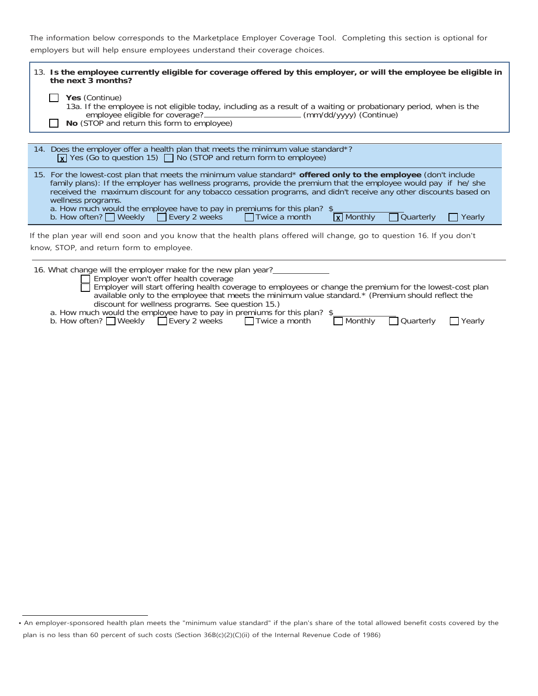The information below corresponds to the Marketplace Employer Coverage Tool. Completing this section is optional for employers but will help ensure employees understand their coverage choices.

| 13. Is the employee currently eligible for coverage offered by this employer, or will the employee be eligible in<br>the next 3 months?                                                                                                                                                                                                                                                                                                                                                                                                                            |  |  |  |
|--------------------------------------------------------------------------------------------------------------------------------------------------------------------------------------------------------------------------------------------------------------------------------------------------------------------------------------------------------------------------------------------------------------------------------------------------------------------------------------------------------------------------------------------------------------------|--|--|--|
| Yes (Continue)<br>13a. If the employee is not eligible today, including as a result of a waiting or probationary period, when is the<br>No (STOP and return this form to employee)                                                                                                                                                                                                                                                                                                                                                                                 |  |  |  |
|                                                                                                                                                                                                                                                                                                                                                                                                                                                                                                                                                                    |  |  |  |
| 14. Does the employer offer a health plan that meets the minimum value standard*?<br>$\sqrt{x}$ Yes (Go to question 15) $\Box$ No (STOP and return form to employee)                                                                                                                                                                                                                                                                                                                                                                                               |  |  |  |
| 15. For the lowest-cost plan that meets the minimum value standard* <b>offered only to the employee</b> (don't include<br>family plans): If the employer has wellness programs, provide the premium that the employee would pay if he/ she<br>received the maximum discount for any tobacco cessation programs, and didn't receive any other discounts based on<br>wellness programs.<br>a. How much would the employee have to pay in premiums for this plan? \$<br>b. How often? Weekly Every 2 weeks Twice a month<br>$\sqrt{x}$ Monthly<br>Quarterly<br>Yearly |  |  |  |
| If the plan year will end soon and you know that the health plans offered will change, go to question 16. If you don't<br>know, STOP, and return form to employee.                                                                                                                                                                                                                                                                                                                                                                                                 |  |  |  |

| 16. What change will the employer make for the new plan year?                                            |  |  |  |  |
|----------------------------------------------------------------------------------------------------------|--|--|--|--|
| Employer won't offer health coverage                                                                     |  |  |  |  |
| Employer will start offering health coverage to employees or change the premium for the lowest-cost plan |  |  |  |  |
| available only to the employee that meets the minimum value standard.* (Premium should reflect the       |  |  |  |  |
| discount for wellness programs. See question 15.)                                                        |  |  |  |  |
| a. How much would the employee have to pay in premiums for this plan? $\frac{1}{2}$                      |  |  |  |  |
| b. How often? Weekly Every 2 weeks<br>Monthly<br>  Twice a month<br><b>Yearly</b><br>  Quarterly         |  |  |  |  |

| • An employer-sponsored health plan meets the "minimum value standard" if the plan's share of the total allowed benefit costs covered by the |
|----------------------------------------------------------------------------------------------------------------------------------------------|
| plan is no less than 60 percent of such costs (Section $36B(c)(2)(C)(ii)$ of the Internal Revenue Code of 1986)                              |